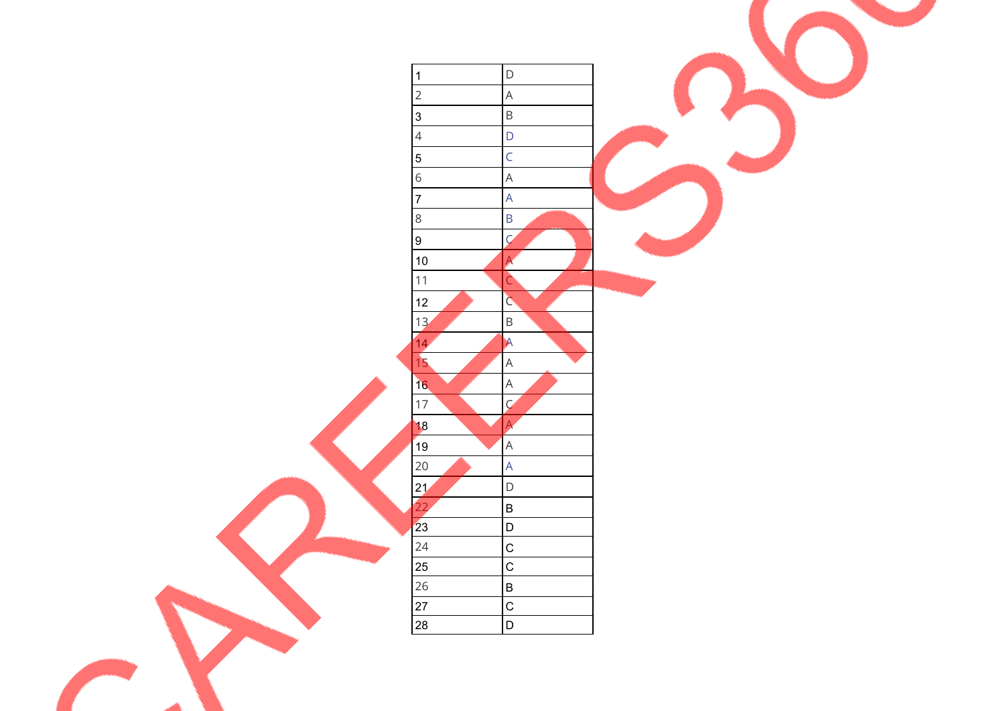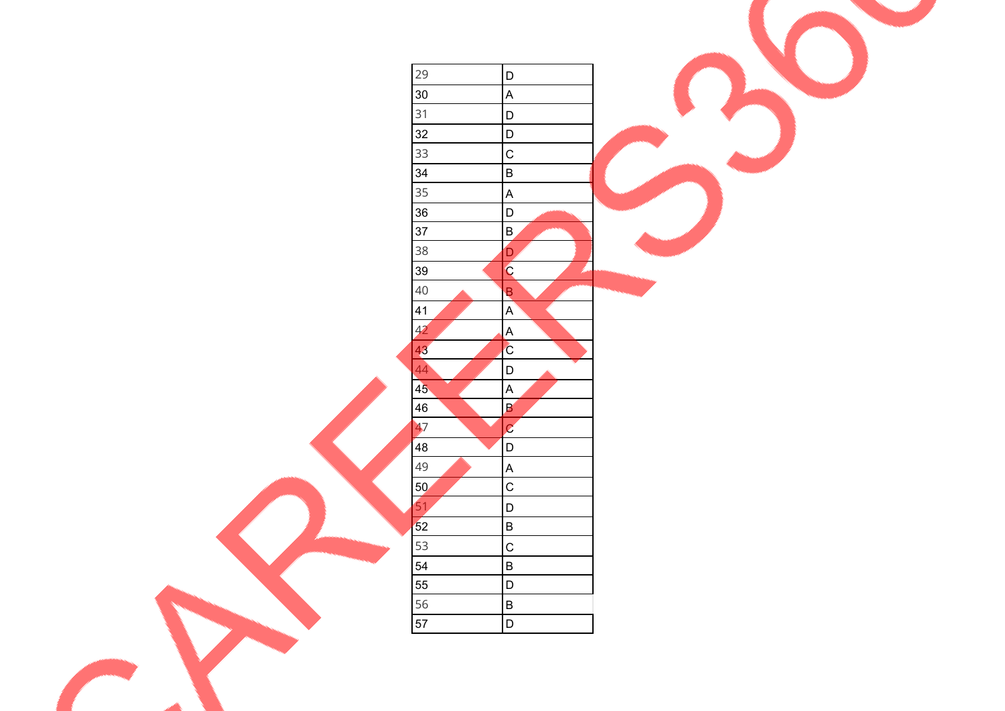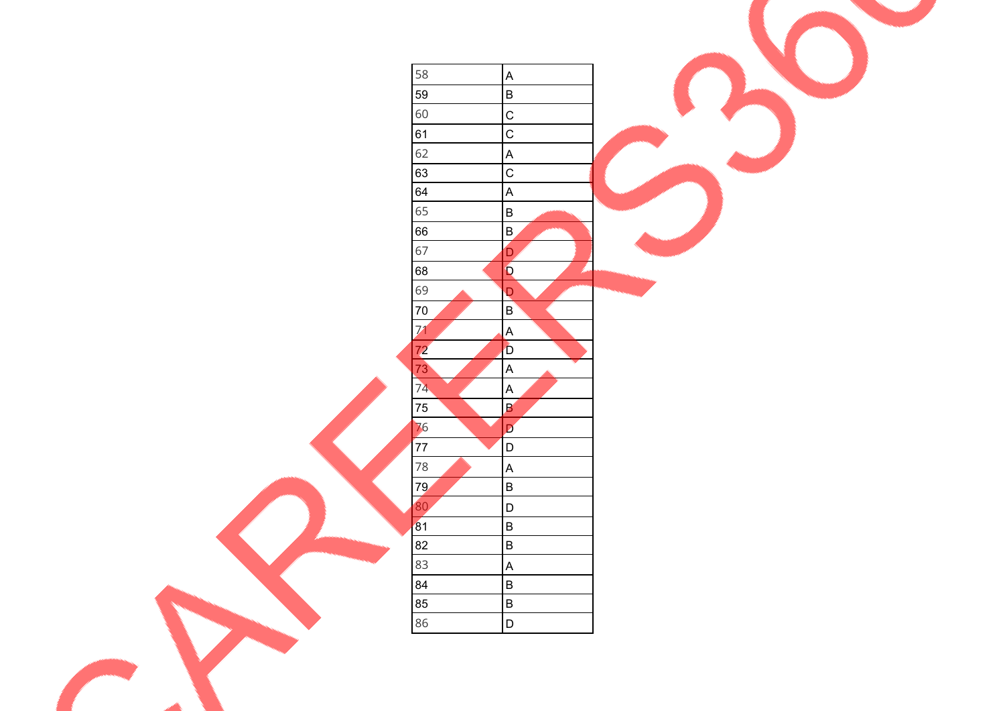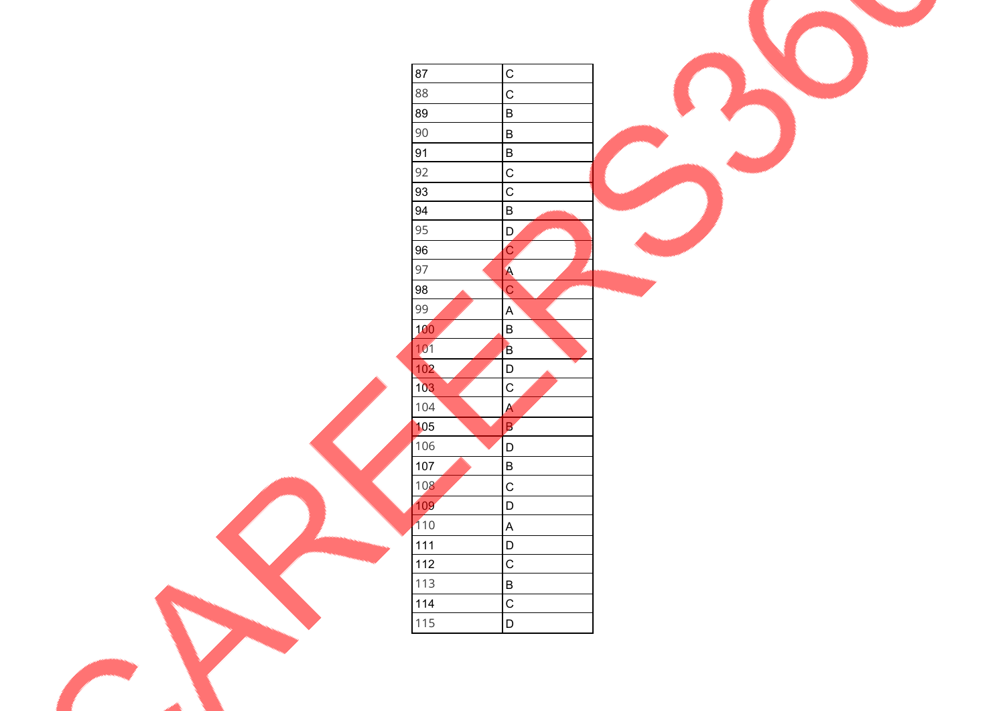